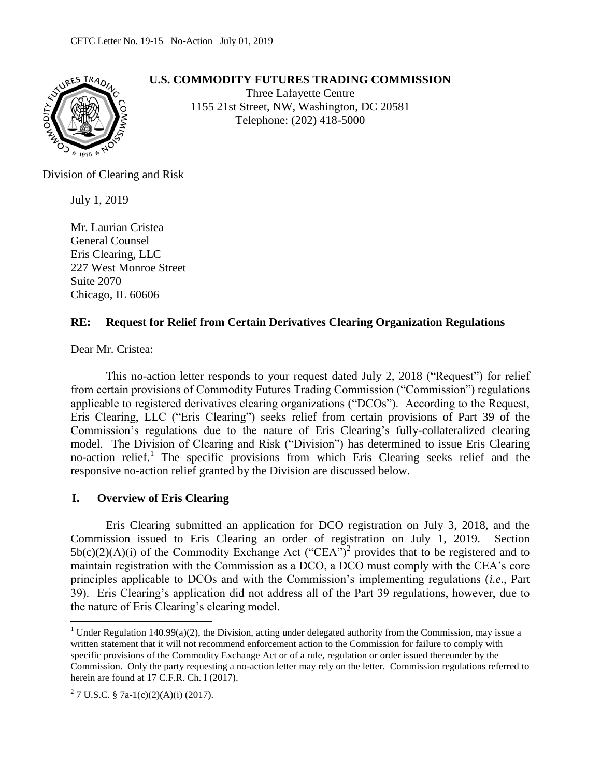

## **U.S. COMMODITY FUTURES TRADING COMMISSION**

Three Lafayette Centre 1155 21st Street, NW, Washington, DC 20581 Telephone: (202) 418-5000

Division of Clearing and Risk

July 1, 2019

Mr. Laurian Cristea General Counsel Eris Clearing, LLC 227 West Monroe Street Suite 2070 Chicago, IL 60606

## **RE: Request for Relief from Certain Derivatives Clearing Organization Regulations**

Dear Mr. Cristea:

This no-action letter responds to your request dated July 2, 2018 ("Request") for relief from certain provisions of Commodity Futures Trading Commission ("Commission") regulations applicable to registered derivatives clearing organizations ("DCOs"). According to the Request, Eris Clearing, LLC ("Eris Clearing") seeks relief from certain provisions of Part 39 of the Commission's regulations due to the nature of Eris Clearing's fully-collateralized clearing model. The Division of Clearing and Risk ("Division") has determined to issue Eris Clearing no-action relief.<sup>1</sup> The specific provisions from which Eris Clearing seeks relief and the responsive no-action relief granted by the Division are discussed below.

## **I. Overview of Eris Clearing**

Eris Clearing submitted an application for DCO registration on July 3, 2018, and the Commission issued to Eris Clearing an order of registration on July 1, 2019. Section  $5b(c)(2)(A)(i)$  of the Commodity Exchange Act ("CEA")<sup>2</sup> provides that to be registered and to maintain registration with the Commission as a DCO, a DCO must comply with the CEA's core principles applicable to DCOs and with the Commission's implementing regulations (*i.e*., Part 39). Eris Clearing's application did not address all of the Part 39 regulations, however, due to the nature of Eris Clearing's clearing model.

 $\overline{a}$ 

<sup>&</sup>lt;sup>1</sup> Under Regulation 140.99(a)(2), the Division, acting under delegated authority from the Commission, may issue a written statement that it will not recommend enforcement action to the Commission for failure to comply with specific provisions of the Commodity Exchange Act or of a rule, regulation or order issued thereunder by the Commission. Only the party requesting a no-action letter may rely on the letter. Commission regulations referred to herein are found at 17 C.F.R. Ch. I (2017).

<sup>&</sup>lt;sup>2</sup> 7 U.S.C. § 7a-1(c)(2)(A)(i) (2017).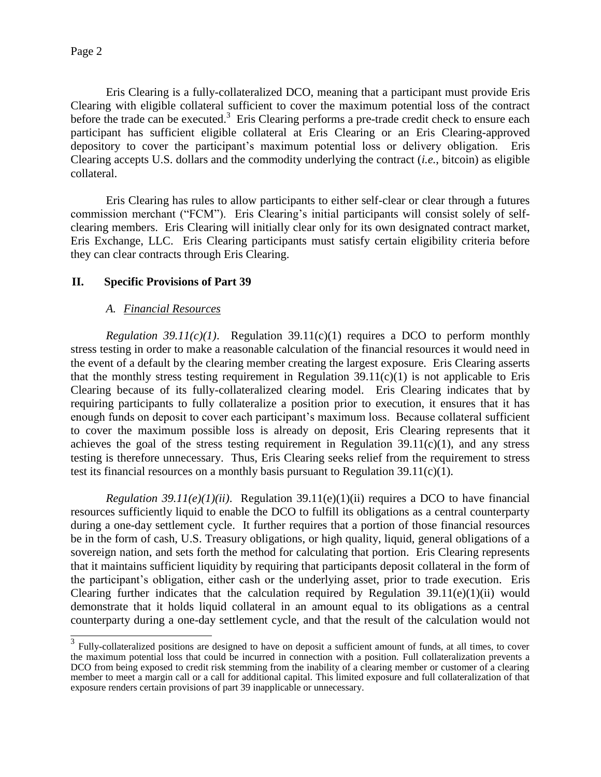Eris Clearing is a fully-collateralized DCO, meaning that a participant must provide Eris Clearing with eligible collateral sufficient to cover the maximum potential loss of the contract before the trade can be executed.<sup>3</sup> Eris Clearing performs a pre-trade credit check to ensure each participant has sufficient eligible collateral at Eris Clearing or an Eris Clearing-approved depository to cover the participant's maximum potential loss or delivery obligation. Eris Clearing accepts U.S. dollars and the commodity underlying the contract (*i.e.*, bitcoin) as eligible collateral.

Eris Clearing has rules to allow participants to either self-clear or clear through a futures commission merchant ("FCM"). Eris Clearing's initial participants will consist solely of selfclearing members. Eris Clearing will initially clear only for its own designated contract market, Eris Exchange, LLC. Eris Clearing participants must satisfy certain eligibility criteria before they can clear contracts through Eris Clearing.

## **II. Specific Provisions of Part 39**

### *A. Financial Resources*

*Regulation 39.11(c)(1)*. Regulation 39.11(c)(1) requires a DCO to perform monthly stress testing in order to make a reasonable calculation of the financial resources it would need in the event of a default by the clearing member creating the largest exposure. Eris Clearing asserts that the monthly stress testing requirement in Regulation  $39.11(c)(1)$  is not applicable to Eris Clearing because of its fully-collateralized clearing model. Eris Clearing indicates that by requiring participants to fully collateralize a position prior to execution, it ensures that it has enough funds on deposit to cover each participant's maximum loss. Because collateral sufficient to cover the maximum possible loss is already on deposit, Eris Clearing represents that it achieves the goal of the stress testing requirement in Regulation  $39.11(c)(1)$ , and any stress testing is therefore unnecessary. Thus, Eris Clearing seeks relief from the requirement to stress test its financial resources on a monthly basis pursuant to Regulation  $39.11(c)(1)$ .

*Regulation 39.11(e)(1)(ii)*. Regulation 39.11(e)(1)(ii) requires a DCO to have financial resources sufficiently liquid to enable the DCO to fulfill its obligations as a central counterparty during a one-day settlement cycle. It further requires that a portion of those financial resources be in the form of cash, U.S. Treasury obligations, or high quality, liquid, general obligations of a sovereign nation, and sets forth the method for calculating that portion. Eris Clearing represents that it maintains sufficient liquidity by requiring that participants deposit collateral in the form of the participant's obligation, either cash or the underlying asset, prior to trade execution. Eris Clearing further indicates that the calculation required by Regulation  $39.11(e)(1)(ii)$  would demonstrate that it holds liquid collateral in an amount equal to its obligations as a central counterparty during a one-day settlement cycle, and that the result of the calculation would not

<sup>&</sup>lt;sup>3</sup> Fully-collateralized positions are designed to have on deposit a sufficient amount of funds, at all times, to cover the maximum potential loss that could be incurred in connection with a position. Full collateralization prevents a DCO from being exposed to credit risk stemming from the inability of a clearing member or customer of a clearing member to meet a margin call or a call for additional capital. This limited exposure and full collateralization of that exposure renders certain provisions of part 39 inapplicable or unnecessary.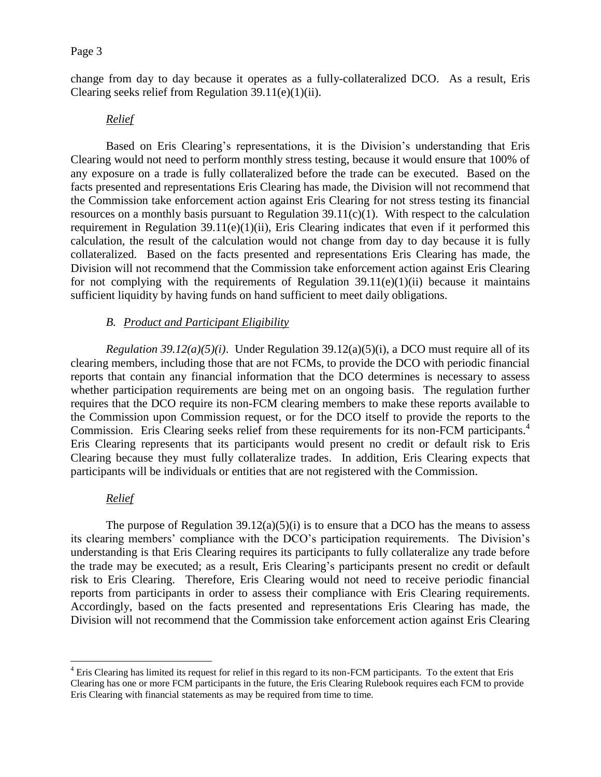change from day to day because it operates as a fully-collateralized DCO. As a result, Eris Clearing seeks relief from Regulation  $39.11(e)(1)(ii)$ .

### *Relief*

Based on Eris Clearing's representations, it is the Division's understanding that Eris Clearing would not need to perform monthly stress testing, because it would ensure that 100% of any exposure on a trade is fully collateralized before the trade can be executed. Based on the facts presented and representations Eris Clearing has made, the Division will not recommend that the Commission take enforcement action against Eris Clearing for not stress testing its financial resources on a monthly basis pursuant to Regulation  $39.11(c)(1)$ . With respect to the calculation requirement in Regulation  $39.11(e)(1)(ii)$ , Eris Clearing indicates that even if it performed this calculation, the result of the calculation would not change from day to day because it is fully collateralized. Based on the facts presented and representations Eris Clearing has made, the Division will not recommend that the Commission take enforcement action against Eris Clearing for not complying with the requirements of Regulation  $39.11(e)(1)(ii)$  because it maintains sufficient liquidity by having funds on hand sufficient to meet daily obligations.

### *B. Product and Participant Eligibility*

*Regulation 39.12(a)(5)(i)*. Under Regulation 39.12(a)(5)(i), a DCO must require all of its clearing members, including those that are not FCMs, to provide the DCO with periodic financial reports that contain any financial information that the DCO determines is necessary to assess whether participation requirements are being met on an ongoing basis. The regulation further requires that the DCO require its non-FCM clearing members to make these reports available to the Commission upon Commission request, or for the DCO itself to provide the reports to the Commission. Eris Clearing seeks relief from these requirements for its non-FCM participants.<sup>4</sup> Eris Clearing represents that its participants would present no credit or default risk to Eris Clearing because they must fully collateralize trades. In addition, Eris Clearing expects that participants will be individuals or entities that are not registered with the Commission.

#### *Relief*

 $\overline{a}$ 

The purpose of Regulation  $39.12(a)(5)(i)$  is to ensure that a DCO has the means to assess its clearing members' compliance with the DCO's participation requirements. The Division's understanding is that Eris Clearing requires its participants to fully collateralize any trade before the trade may be executed; as a result, Eris Clearing's participants present no credit or default risk to Eris Clearing. Therefore, Eris Clearing would not need to receive periodic financial reports from participants in order to assess their compliance with Eris Clearing requirements. Accordingly, based on the facts presented and representations Eris Clearing has made, the Division will not recommend that the Commission take enforcement action against Eris Clearing

<sup>&</sup>lt;sup>4</sup> Eris Clearing has limited its request for relief in this regard to its non-FCM participants. To the extent that Eris Clearing has one or more FCM participants in the future, the Eris Clearing Rulebook requires each FCM to provide Eris Clearing with financial statements as may be required from time to time.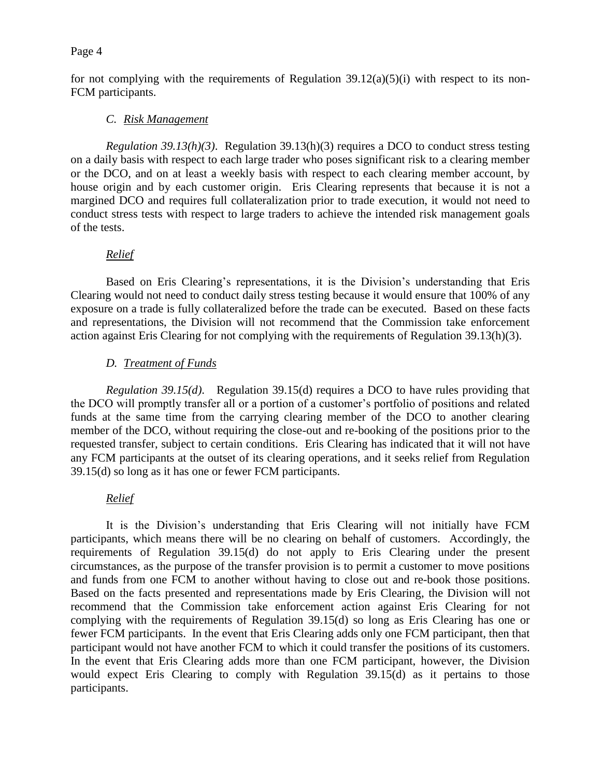for not complying with the requirements of Regulation  $39.12(a)(5)(i)$  with respect to its non-FCM participants.

## *C. Risk Management*

*Regulation 39.13(h)(3)*. Regulation 39.13(h)(3) requires a DCO to conduct stress testing on a daily basis with respect to each large trader who poses significant risk to a clearing member or the DCO, and on at least a weekly basis with respect to each clearing member account, by house origin and by each customer origin. Eris Clearing represents that because it is not a margined DCO and requires full collateralization prior to trade execution, it would not need to conduct stress tests with respect to large traders to achieve the intended risk management goals of the tests.

## *Relief*

Based on Eris Clearing's representations, it is the Division's understanding that Eris Clearing would not need to conduct daily stress testing because it would ensure that 100% of any exposure on a trade is fully collateralized before the trade can be executed. Based on these facts and representations, the Division will not recommend that the Commission take enforcement action against Eris Clearing for not complying with the requirements of Regulation 39.13(h)(3).

# *D. Treatment of Funds*

*Regulation 39.15(d)*. Regulation 39.15(d) requires a DCO to have rules providing that the DCO will promptly transfer all or a portion of a customer's portfolio of positions and related funds at the same time from the carrying clearing member of the DCO to another clearing member of the DCO, without requiring the close-out and re-booking of the positions prior to the requested transfer, subject to certain conditions. Eris Clearing has indicated that it will not have any FCM participants at the outset of its clearing operations, and it seeks relief from Regulation 39.15(d) so long as it has one or fewer FCM participants.

## *Relief*

It is the Division's understanding that Eris Clearing will not initially have FCM participants, which means there will be no clearing on behalf of customers. Accordingly, the requirements of Regulation 39.15(d) do not apply to Eris Clearing under the present circumstances, as the purpose of the transfer provision is to permit a customer to move positions and funds from one FCM to another without having to close out and re-book those positions. Based on the facts presented and representations made by Eris Clearing, the Division will not recommend that the Commission take enforcement action against Eris Clearing for not complying with the requirements of Regulation 39.15(d) so long as Eris Clearing has one or fewer FCM participants. In the event that Eris Clearing adds only one FCM participant, then that participant would not have another FCM to which it could transfer the positions of its customers. In the event that Eris Clearing adds more than one FCM participant, however, the Division would expect Eris Clearing to comply with Regulation 39.15(d) as it pertains to those participants.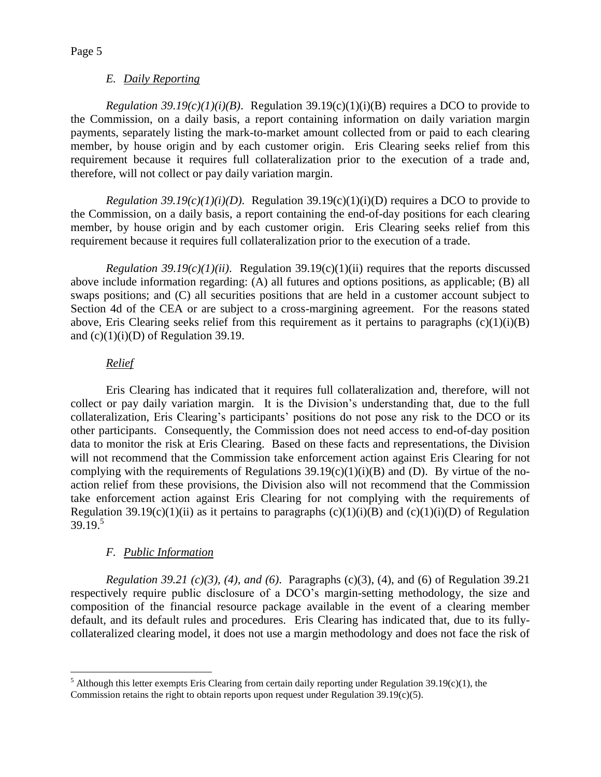### *E. Daily Reporting*

*Regulation 39.19(c)(1)(i)(B)*. Regulation 39.19(c)(1)(i)(B) requires a DCO to provide to the Commission, on a daily basis, a report containing information on daily variation margin payments, separately listing the mark-to-market amount collected from or paid to each clearing member, by house origin and by each customer origin. Eris Clearing seeks relief from this requirement because it requires full collateralization prior to the execution of a trade and, therefore, will not collect or pay daily variation margin.

*Regulation 39.19(c)(1)(i)(D)*. Regulation 39.19(c)(1)(i)(D) requires a DCO to provide to the Commission, on a daily basis, a report containing the end-of-day positions for each clearing member, by house origin and by each customer origin. Eris Clearing seeks relief from this requirement because it requires full collateralization prior to the execution of a trade.

*Regulation 39.19(c)(1)(ii)*. Regulation 39.19(c)(1)(ii) requires that the reports discussed above include information regarding: (A) all futures and options positions, as applicable; (B) all swaps positions; and (C) all securities positions that are held in a customer account subject to Section 4d of the CEA or are subject to a cross-margining agreement. For the reasons stated above, Eris Clearing seeks relief from this requirement as it pertains to paragraphs  $(c)(1)(i)(B)$ and  $(c)(1)(i)(D)$  of Regulation 39.19.

## *Relief*

 $\overline{a}$ 

Eris Clearing has indicated that it requires full collateralization and, therefore, will not collect or pay daily variation margin. It is the Division's understanding that, due to the full collateralization, Eris Clearing's participants' positions do not pose any risk to the DCO or its other participants. Consequently, the Commission does not need access to end-of-day position data to monitor the risk at Eris Clearing. Based on these facts and representations, the Division will not recommend that the Commission take enforcement action against Eris Clearing for not complying with the requirements of Regulations  $39.19(c)(1)(i)(B)$  and (D). By virtue of the noaction relief from these provisions, the Division also will not recommend that the Commission take enforcement action against Eris Clearing for not complying with the requirements of Regulation 39.19(c)(1)(ii) as it pertains to paragraphs (c)(1)(i)(B) and (c)(1)(i)(D) of Regulation  $39.19<sup>5</sup>$ 

# *F. Public Information*

*Regulation 39.21 (c)(3), (4), and (6)*. Paragraphs (c)(3), (4), and (6) of Regulation 39.21 respectively require public disclosure of a DCO's margin-setting methodology, the size and composition of the financial resource package available in the event of a clearing member default, and its default rules and procedures. Eris Clearing has indicated that, due to its fullycollateralized clearing model, it does not use a margin methodology and does not face the risk of

<sup>&</sup>lt;sup>5</sup> Although this letter exempts Eris Clearing from certain daily reporting under Regulation 39.19(c)(1), the Commission retains the right to obtain reports upon request under Regulation 39.19(c)(5).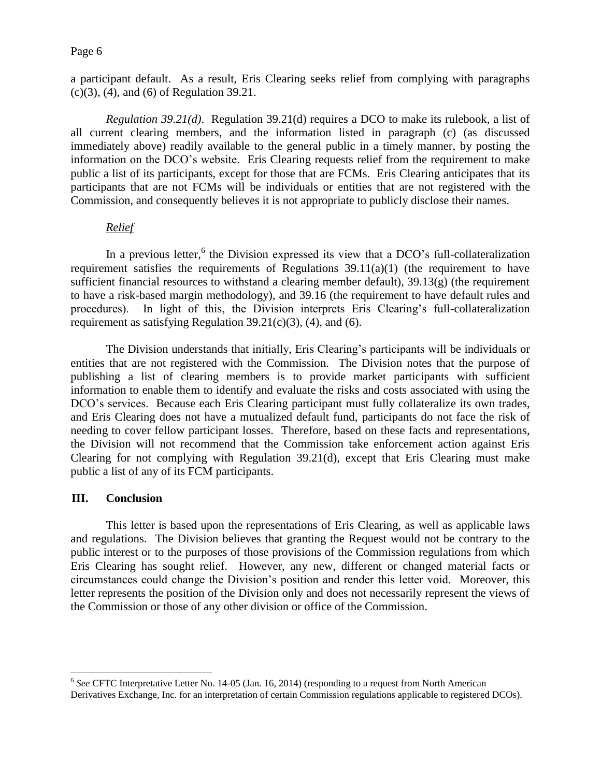a participant default. As a result, Eris Clearing seeks relief from complying with paragraphs (c)(3), (4), and (6) of Regulation 39.21.

*Regulation 39.21(d)*. Regulation 39.21(d) requires a DCO to make its rulebook, a list of all current clearing members, and the information listed in paragraph (c) (as discussed immediately above) readily available to the general public in a timely manner, by posting the information on the DCO's website. Eris Clearing requests relief from the requirement to make public a list of its participants, except for those that are FCMs. Eris Clearing anticipates that its participants that are not FCMs will be individuals or entities that are not registered with the Commission, and consequently believes it is not appropriate to publicly disclose their names.

## *Relief*

In a previous letter,  $6$  the Division expressed its view that a DCO's full-collateralization requirement satisfies the requirements of Regulations  $39.11(a)(1)$  (the requirement to have sufficient financial resources to withstand a clearing member default), 39.13(g) (the requirement to have a risk-based margin methodology), and 39.16 (the requirement to have default rules and procedures). In light of this, the Division interprets Eris Clearing's full-collateralization requirement as satisfying Regulation  $39.21(c)(3)$ , (4), and (6).

The Division understands that initially, Eris Clearing's participants will be individuals or entities that are not registered with the Commission. The Division notes that the purpose of publishing a list of clearing members is to provide market participants with sufficient information to enable them to identify and evaluate the risks and costs associated with using the DCO's services. Because each Eris Clearing participant must fully collateralize its own trades, and Eris Clearing does not have a mutualized default fund, participants do not face the risk of needing to cover fellow participant losses. Therefore, based on these facts and representations, the Division will not recommend that the Commission take enforcement action against Eris Clearing for not complying with Regulation 39.21(d), except that Eris Clearing must make public a list of any of its FCM participants.

## **III. Conclusion**

 $\overline{a}$ 

This letter is based upon the representations of Eris Clearing, as well as applicable laws and regulations. The Division believes that granting the Request would not be contrary to the public interest or to the purposes of those provisions of the Commission regulations from which Eris Clearing has sought relief. However, any new, different or changed material facts or circumstances could change the Division's position and render this letter void. Moreover, this letter represents the position of the Division only and does not necessarily represent the views of the Commission or those of any other division or office of the Commission.

<sup>&</sup>lt;sup>6</sup> See CFTC Interpretative Letter No. 14-05 (Jan. 16, 2014) (responding to a request from North American Derivatives Exchange, Inc. for an interpretation of certain Commission regulations applicable to registered DCOs).